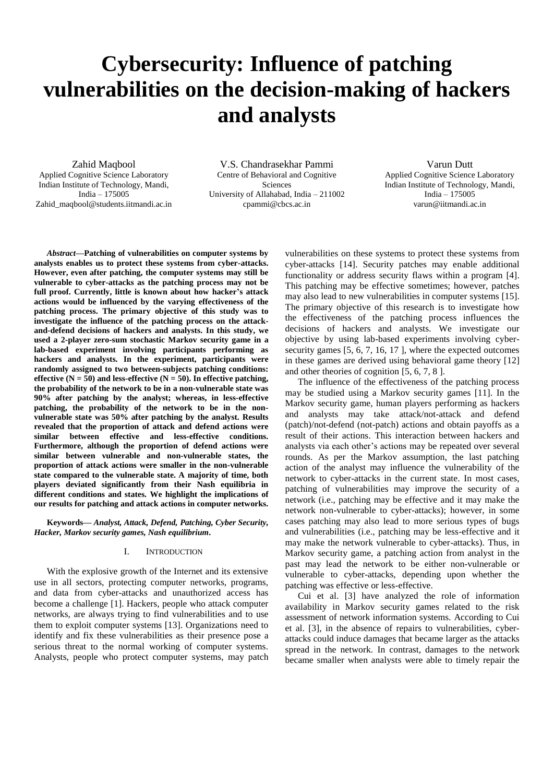# **Cybersecurity: Influence of patching vulnerabilities on the decision-making of hackers and analysts**

## Zahid Maqbool

Applied Cognitive Science Laboratory Indian Institute of Technology, Mandi, India – 175005 Zahid\_maqbool@students.iitmandi.ac.in

V.S. Chandrasekhar Pammi Centre of Behavioral and Cognitive Sciences University of Allahabad, India – 211002 cpammi@cbcs.ac.in

# Varun Dutt

Applied Cognitive Science Laboratory Indian Institute of Technology, Mandi, India – 175005 varun@iitmandi.ac.in

*Abstract***—Patching of vulnerabilities on computer systems by analysts enables us to protect these systems from cyber-attacks. However, even after patching, the computer systems may still be vulnerable to cyber-attacks as the patching process may not be full proof. Currently, little is known about how hacker's attack actions would be influenced by the varying effectiveness of the patching process. The primary objective of this study was to investigate the influence of the patching process on the attackand-defend decisions of hackers and analysts. In this study, we used a 2-player zero-sum stochastic Markov security game in a lab-based experiment involving participants performing as hackers and analysts. In the experiment, participants were randomly assigned to two between-subjects patching conditions: effective**  $(N = 50)$  and less-effective  $(N = 50)$ . In effective patching, **the probability of the network to be in a non-vulnerable state was 90% after patching by the analyst; whereas, in less-effective patching, the probability of the network to be in the nonvulnerable state was 50% after patching by the analyst. Results revealed that the proportion of attack and defend actions were similar between effective and less-effective conditions. Furthermore, although the proportion of defend actions were similar between vulnerable and non-vulnerable states, the proportion of attack actions were smaller in the non-vulnerable state compared to the vulnerable state. A majority of time, both players deviated significantly from their Nash equilibria in different conditions and states. We highlight the implications of our results for patching and attack actions in computer networks.**

**Keywords—** *Analyst, Attack, Defend, Patching, Cyber Security, Hacker, Markov security games, Nash equilibrium***.** 

#### I. INTRODUCTION

With the explosive growth of the Internet and its extensive use in all sectors, protecting computer networks, programs, and data from cyber-attacks and unauthorized access has become a challenge [1]. Hackers, people who attack computer networks, are always trying to find vulnerabilities and to use them to exploit computer systems [13]. Organizations need to identify and fix these vulnerabilities as their presence pose a serious threat to the normal working of computer systems. Analysts, people who protect computer systems, may patch

vulnerabilities on these systems to protect these systems from cyber-attacks [14]. Security patches may enable additional functionality or address security flaws within a program [4]. This patching may be effective sometimes; however, patches may also lead to new vulnerabilities in computer systems [15]. The primary objective of this research is to investigate how the effectiveness of the patching process influences the decisions of hackers and analysts. We investigate our objective by using lab-based experiments involving cybersecurity games [5, 6, 7, 16, 17], where the expected outcomes in these games are derived using behavioral game theory [12] and other theories of cognition [5, 6, 7, 8 ].

The influence of the effectiveness of the patching process may be studied using a Markov security games [11]. In the Markov security game, human players performing as hackers and analysts may take attack/not-attack and defend (patch)/not-defend (not-patch) actions and obtain payoffs as a result of their actions. This interaction between hackers and analysts via each other's actions may be repeated over several rounds. As per the Markov assumption, the last patching action of the analyst may influence the vulnerability of the network to cyber-attacks in the current state. In most cases, patching of vulnerabilities may improve the security of a network (i.e., patching may be effective and it may make the network non-vulnerable to cyber-attacks); however, in some cases patching may also lead to more serious types of bugs and vulnerabilities (i.e., patching may be less-effective and it may make the network vulnerable to cyber-attacks). Thus, in Markov security game, a patching action from analyst in the past may lead the network to be either non-vulnerable or vulnerable to cyber-attacks, depending upon whether the patching was effective or less-effective.

Cui et al. [3] have analyzed the role of information availability in Markov security games related to the risk assessment of network information systems. According to Cui et al. [3], in the absence of repairs to vulnerabilities, cyberattacks could induce damages that became larger as the attacks spread in the network. In contrast, damages to the network became smaller when analysts were able to timely repair the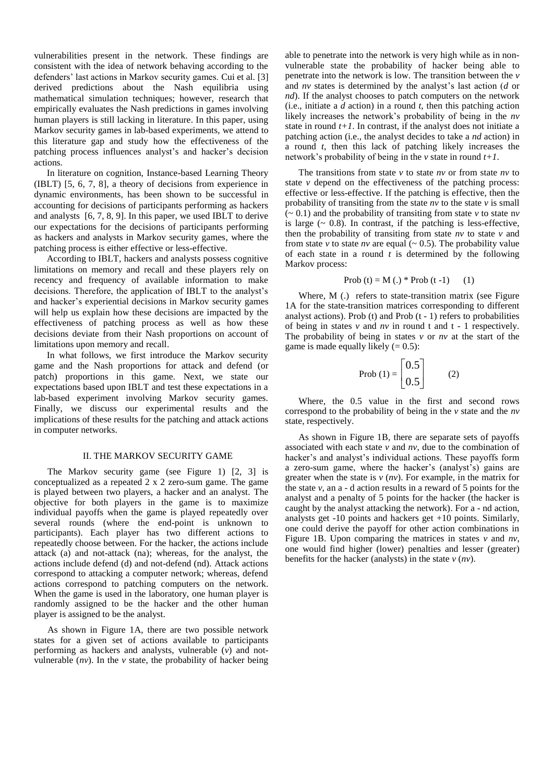vulnerabilities present in the network. These findings are consistent with the idea of network behaving according to the defenders' last actions in Markov security games. Cui et al. [3] derived predictions about the Nash equilibria using mathematical simulation techniques; however, research that empirically evaluates the Nash predictions in games involving human players is still lacking in literature. In this paper, using Markov security games in lab-based experiments, we attend to this literature gap and study how the effectiveness of the patching process influences analyst's and hacker's decision actions.

In literature on cognition, Instance-based Learning Theory (IBLT) [5, 6, 7, 8], a theory of decisions from experience in dynamic environments, has been shown to be successful in accounting for decisions of participants performing as hackers and analysts [6, 7, 8, 9]. In this paper, we used IBLT to derive our expectations for the decisions of participants performing as hackers and analysts in Markov security games, where the patching process is either effective or less-effective.

According to IBLT, hackers and analysts possess cognitive limitations on memory and recall and these players rely on recency and frequency of available information to make decisions. Therefore, the application of IBLT to the analyst's and hacker's experiential decisions in Markov security games will help us explain how these decisions are impacted by the effectiveness of patching process as well as how these decisions deviate from their Nash proportions on account of limitations upon memory and recall.

In what follows, we first introduce the Markov security game and the Nash proportions for attack and defend (or patch) proportions in this game. Next, we state our expectations based upon IBLT and test these expectations in a lab-based experiment involving Markov security games. Finally, we discuss our experimental results and the implications of these results for the patching and attack actions in computer networks.

#### II. THE MARKOV SECURITY GAME

The Markov security game (see Figure 1) [2, 3] is conceptualized as a repeated 2 x 2 zero-sum game. The game is played between two players, a hacker and an analyst. The objective for both players in the game is to maximize individual payoffs when the game is played repeatedly over several rounds (where the end-point is unknown to participants). Each player has two different actions to repeatedly choose between. For the hacker, the actions include attack (a) and not-attack (na); whereas, for the analyst, the actions include defend (d) and not-defend (nd). Attack actions correspond to attacking a computer network; whereas, defend actions correspond to patching computers on the network. When the game is used in the laboratory, one human player is randomly assigned to be the hacker and the other human player is assigned to be the analyst.

As shown in Figure 1A, there are two possible network states for a given set of actions available to participants performing as hackers and analysts, vulnerable (*v*) and notvulnerable  $(nv)$ . In the *v* state, the probability of hacker being

able to penetrate into the network is very high while as in nonvulnerable state the probability of hacker being able to penetrate into the network is low. The transition between the *v* and *nv* states is determined by the analyst's last action (*d* or *nd*). If the analyst chooses to patch computers on the network (i.e., initiate a *d* action) in a round *t*, then this patching action likely increases the network's probability of being in the *nv* state in round  $t+1$ . In contrast, if the analyst does not initiate a patching action (i.e., the analyst decides to take a *nd* action) in a round *t*, then this lack of patching likely increases the network's probability of being in the *v* state in round *t+1*.

The transitions from state *v* to state *nv* or from state *nv* to state  $\nu$  depend on the effectiveness of the patching process: effective or less-effective. If the patching is effective, then the probability of transiting from the state *nv* to the state *v* is small (~ 0.1) and the probability of transiting from state *v* to state n*v* is large  $($   $\sim$  0.8). In contrast, if the patching is less-effective, then the probability of transiting from state  $nv$  to state  $v$  and from state *v* to state *nv* are equal ( $\sim$  0.5). The probability value of each state in a round *t* is determined by the following Markov process:

Prob (t) = M (.) \* Prob (t -1) (1)

Where, M (.) refers to state-transition matrix (see Figure 1A for the state-transition matrices corresponding to different analyst actions). Prob  $(t)$  and Prob  $(t - 1)$  refers to probabilities of being in states  $v$  and  $nv$  in round t and t - 1 respectively. The probability of being in states *v* or *nv* at the start of the game is made equally likely  $(= 0.5)$ :

$$
Prob(1) = \begin{bmatrix} 0.5 \\ 0.5 \end{bmatrix} \qquad (2)
$$

Where, the 0.5 value in the first and second rows correspond to the probability of being in the *v* state and the *nv* state, respectively.

As shown in Figure 1B, there are separate sets of payoffs associated with each state *v* and *nv*, due to the combination of hacker's and analyst's individual actions. These payoffs form a zero-sum game, where the hacker's (analyst's) gains are greater when the state is  $v$  ( $nv$ ). For example, in the matrix for the state  $v$ , an  $a - d$  action results in a reward of 5 points for the analyst and a penalty of 5 points for the hacker (the hacker is caught by the analyst attacking the network). For a - nd action, analysts get -10 points and hackers get +10 points. Similarly, one could derive the payoff for other action combinations in Figure 1B. Upon comparing the matrices in states *v* and *nv*, one would find higher (lower) penalties and lesser (greater) benefits for the hacker (analysts) in the state *v* (*nv*).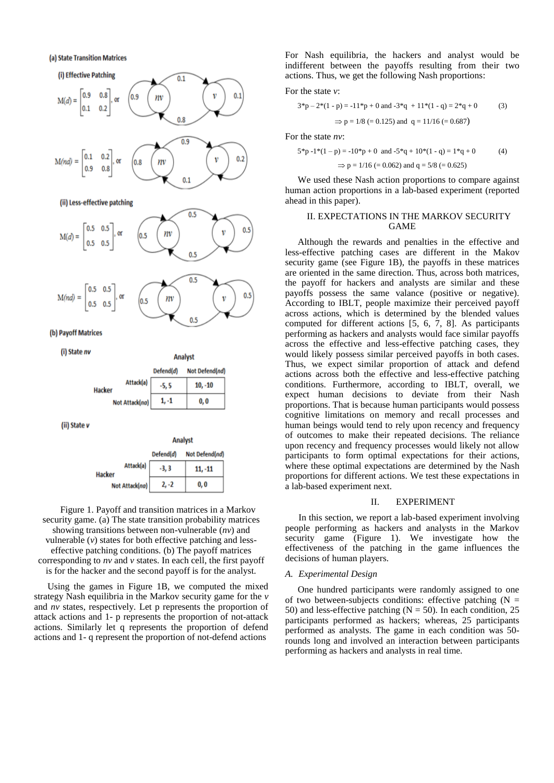(a) State Transition Matrices



Figure 1. Payoff and transition matrices in a Markov security game. (a) The state transition probability matrices showing transitions between non-vulnerable (*nv*) and vulnerable (*v*) states for both effective patching and lesseffective patching conditions. (b) The payoff matrices corresponding to *nv* and *v* states. In each cell, the first payoff is for the hacker and the second payoff is for the analyst.

Using the games in Figure 1B, we computed the mixed strategy Nash equilibria in the Markov security game for the *v* and *nv* states, respectively. Let p represents the proportion of attack actions and 1- p represents the proportion of not-attack actions. Similarly let q represents the proportion of defend actions and 1- q represent the proportion of not-defend actions

For Nash equilibria, the hackers and analyst would be indifferent between the payoffs resulting from their two actions. Thus, we get the following Nash proportions:

For the state *v*:

$$
3^*p - 2^*(1 - p) = -11^*p + 0 \text{ and } -3^*q + 11^*(1 - q) = 2^*q + 0 \tag{3}
$$
  

$$
\Rightarrow p = 1/8 \ (= 0.125) \text{ and } q = 11/16 \ (= 0.687)
$$

For the state *nv*:

$$
5 \cdot p \cdot 1 \cdot (1 - p) = -10 \cdot p + 0 \text{ and } -5 \cdot q + 10 \cdot (1 - q) = 1 \cdot q + 0 \tag{4}
$$

$$
\Rightarrow p = 1/16 \ (= 0.062) \text{ and } q = 5/8 \ (= 0.625)
$$

We used these Nash action proportions to compare against human action proportions in a lab-based experiment (reported ahead in this paper).

## II. EXPECTATIONS IN THE MARKOV SECURITY GAME

Although the rewards and penalties in the effective and less-effective patching cases are different in the Makov security game (see Figure 1B), the payoffs in these matrices are oriented in the same direction. Thus, across both matrices, the payoff for hackers and analysts are similar and these payoffs possess the same valance (positive or negative). According to IBLT, people maximize their perceived payoff across actions, which is determined by the blended values computed for different actions [5, 6, 7, 8]. As participants performing as hackers and analysts would face similar payoffs across the effective and less-effective patching cases, they would likely possess similar perceived payoffs in both cases. Thus, we expect similar proportion of attack and defend actions across both the effective and less-effective patching conditions. Furthermore, according to IBLT, overall, we expect human decisions to deviate from their Nash proportions. That is because human participants would possess cognitive limitations on memory and recall processes and human beings would tend to rely upon recency and frequency of outcomes to make their repeated decisions. The reliance upon recency and frequency processes would likely not allow participants to form optimal expectations for their actions, where these optimal expectations are determined by the Nash proportions for different actions. We test these expectations in a lab-based experiment next.

### II. EXPERIMENT

In this section, we report a lab-based experiment involving people performing as hackers and analysts in the Markov security game (Figure 1). We investigate how the effectiveness of the patching in the game influences the decisions of human players.

## *A. Experimental Design*

One hundred participants were randomly assigned to one of two between-subjects conditions: effective patching  $(N =$ 50) and less-effective patching ( $N = 50$ ). In each condition, 25 participants performed as hackers; whereas, 25 participants performed as analysts. The game in each condition was 50 rounds long and involved an interaction between participants performing as hackers and analysts in real time.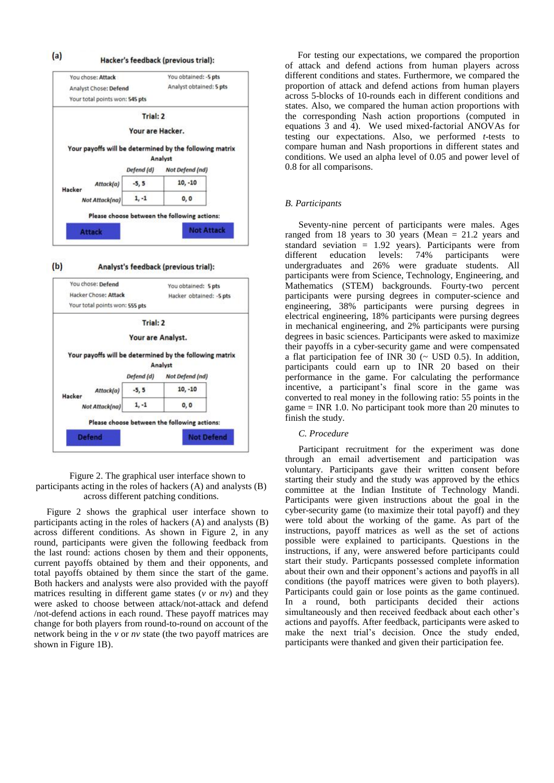





Figure 2. The graphical user interface shown to participants acting in the roles of hackers (A) and analysts (B) across different patching conditions.

Figure 2 shows the graphical user interface shown to participants acting in the roles of hackers (A) and analysts (B) across different conditions. As shown in Figure 2, in any round, participants were given the following feedback from the last round: actions chosen by them and their opponents, current payoffs obtained by them and their opponents, and total payoffs obtained by them since the start of the game. Both hackers and analysts were also provided with the payoff matrices resulting in different game states  $(v \text{ or } nv)$  and they were asked to choose between attack/not-attack and defend /not-defend actions in each round. These payoff matrices may change for both players from round-to-round on account of the network being in the *v* or *nv* state (the two payoff matrices are shown in Figure 1B).

For testing our expectations, we compared the proportion of attack and defend actions from human players across different conditions and states. Furthermore, we compared the proportion of attack and defend actions from human players across 5-blocks of 10-rounds each in different conditions and states. Also, we compared the human action proportions with the corresponding Nash action proportions (computed in equations 3 and 4). We used mixed-factorial ANOVAs for testing our expectations. Also, we performed *t*-tests to compare human and Nash proportions in different states and conditions. We used an alpha level of 0.05 and power level of 0.8 for all comparisons.

## *B. Participants*

Seventy-nine percent of participants were males. Ages ranged from 18 years to 30 years (Mean  $= 21.2$  years and standard seviation = 1.92 years). Participants were from different education levels: 74% participants were undergraduates and 26% were graduate students. All participants were from Science, Technology, Engineering, and Mathematics (STEM) backgrounds. Fourty-two percent participants were pursing degrees in computer-science and engineering, 38% participants were pursing degrees in electrical engineering, 18% participants were pursing degrees in mechanical engineering, and 2% participants were pursing degrees in basic sciences. Participants were asked to maximize their payoffs in a cyber-security game and were compensated a flat participation fee of INR 30  $($   $\sim$  USD 0.5 $)$ . In addition, participants could earn up to INR 20 based on their performance in the game. For calculating the performance incentive, a participant's final score in the game was converted to real money in the following ratio: 55 points in the game  $=$  INR 1.0. No participant took more than 20 minutes to finish the study.

# *C. Procedure*

Participant recruitment for the experiment was done through an email advertisement and participation was voluntary. Participants gave their written consent before starting their study and the study was approved by the ethics committee at the Indian Institute of Technology Mandi. Participants were given instructions about the goal in the cyber-security game (to maximize their total payoff) and they were told about the working of the game. As part of the instructions, payoff matrices as well as the set of actions possible were explained to participants. Questions in the instructions, if any, were answered before participants could start their study. Particpants possessed complete information about their own and their opponent's actions and payoffs in all conditions (the payoff matrices were given to both players). Participants could gain or lose points as the game continued. In a round, both participants decided their actions simultaneously and then received feedback about each other's actions and payoffs. After feedback, participants were asked to make the next trial's decision. Once the study ended, participants were thanked and given their participation fee.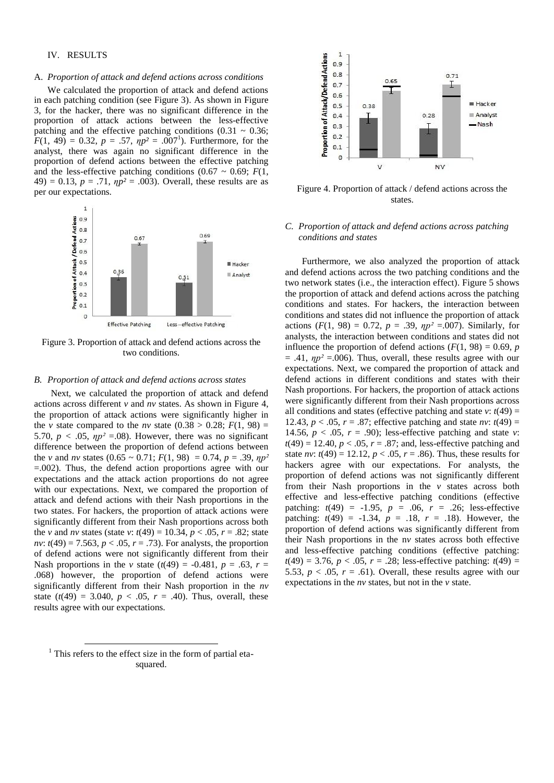# IV. RESULTS

## A. *Proportion of attack and defend actions across conditions*

We calculated the proportion of attack and defend actions in each patching condition (see Figure 3). As shown in Figure 3, for the hacker, there was no significant difference in the proportion of attack actions between the less-effective patching and the effective patching conditions  $(0.31 \sim 0.36)$ ;  $F(1, 49) = 0.32, p = .57, \eta p^2 = .007^1$ . Furthermore, for the analyst, there was again no significant difference in the proportion of defend actions between the effective patching and the less-effective patching conditions  $(0.67 \sim 0.69; F(1,$ 49) = 0.13,  $p = .71$ ,  $np^2 = .003$ ). Overall, these results are as per our expectations.



Figure 3. Proportion of attack and defend actions across the two conditions.

## *B. Proportion of attack and defend actions across states*

Next, we calculated the proportion of attack and defend actions across different *v* and *nv* states. As shown in Figure 4, the proportion of attack actions were significantly higher in the *v* state compared to the *nv* state  $(0.38 > 0.28; F(1, 98) =$ 5.70,  $p < .05$ ,  $np^2 = .08$ ). However, there was no significant difference between the proportion of defend actions between the *v* and *nv* states  $(0.65 \sim 0.71; F(1, 98) = 0.74, p = .39, \eta p^2$ =.002). Thus, the defend action proportions agree with our expectations and the attack action proportions do not agree with our expectations. Next, we compared the proportion of attack and defend actions with their Nash proportions in the two states. For hackers, the proportion of attack actions were significantly different from their Nash proportions across both the *v* and *nv* states (state *v*:  $t(49) = 10.34, p < .05, r = .82$ ; state *nv*:  $t(49) = 7.563$ ,  $p < .05$ ,  $r = .73$ ). For analysts, the proportion of defend actions were not significantly different from their Nash proportions in the *v* state ( $t(49) = -0.481$ ,  $p = .63$ ,  $r =$ .068) however, the proportion of defend actions were significantly different from their Nash proportion in the *nv* state  $(t(49) = 3.040, p < .05, r = .40)$ . Thus, overall, these results agree with our expectations.

-



Figure 4. Proportion of attack / defend actions across the states.

# *C. Proportion of attack and defend actions across patching conditions and states*

Furthermore, we also analyzed the proportion of attack and defend actions across the two patching conditions and the two network states (i.e., the interaction effect). Figure 5 shows the proportion of attack and defend actions across the patching conditions and states. For hackers, the interaction between conditions and states did not influence the proportion of attack actions  $(F(1, 98) = 0.72, p = .39, \eta p^2 = .007)$ . Similarly, for analysts, the interaction between conditions and states did not influence the proportion of defend actions  $(F(1, 98) = 0.69, p$  $= .41$ ,  $np^2 = .006$ ). Thus, overall, these results agree with our expectations. Next, we compared the proportion of attack and defend actions in different conditions and states with their Nash proportions. For hackers, the proportion of attack actions were significantly different from their Nash proportions across all conditions and states (effective patching and state  $v: t(49) =$ 12.43,  $p < .05$ ,  $r = .87$ ; effective patching and state *nv*:  $t(49) =$ 14.56,  $p < .05$ ,  $r = .90$ ; less-effective patching and state *v*:  $t(49) = 12.40$ ,  $p < .05$ ,  $r = .87$ ; and, less-effective patching and state *nv*:  $t(49) = 12.12$ ,  $p < .05$ ,  $r = .86$ ). Thus, these results for hackers agree with our expectations. For analysts, the proportion of defend actions was not significantly different from their Nash proportions in the *v* states across both effective and less-effective patching conditions (effective patching:  $t(49) = -1.95$ ,  $p = .06$ ,  $r = .26$ ; less-effective patching:  $t(49) = -1.34$ ,  $p = .18$ ,  $r = .18$ ). However, the proportion of defend actions was significantly different from their Nash proportions in the n*v* states across both effective and less-effective patching conditions (effective patching:  $t(49) = 3.76$ ,  $p < .05$ ,  $r = .28$ ; less-effective patching:  $t(49) =$ 5.53,  $p < .05$ ,  $r = .61$ ). Overall, these results agree with our expectations in the *nv* states, but not in the *v* state.

<sup>&</sup>lt;sup>1</sup> This refers to the effect size in the form of partial etasquared.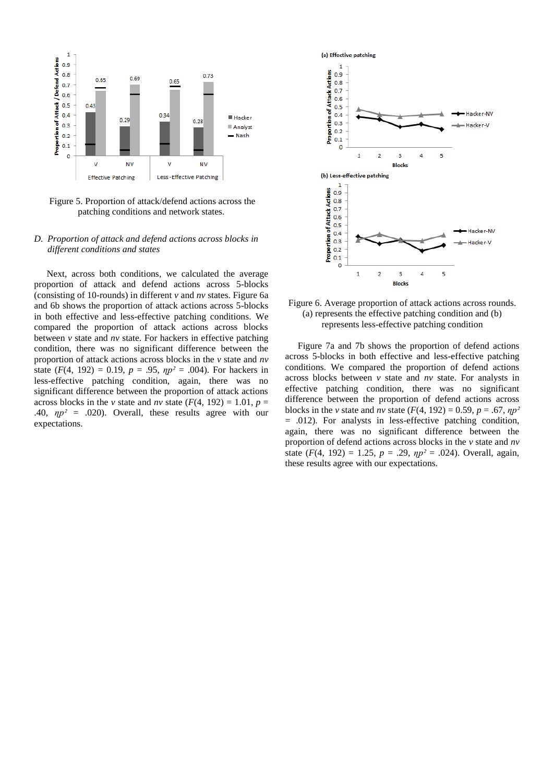

Figure 5. Proportion of attack/defend actions across the patching conditions and network states.

# *D. Proportion of attack and defend actions across blocks in different conditions and states*

Next, across both conditions, we calculated the average proportion of attack and defend actions across 5-blocks (consisting of 10-rounds) in different *v* and *nv* states. Figure 6a and 6b shows the proportion of attack actions across 5-blocks in both effective and less-effective patching conditions. We compared the proportion of attack actions across blocks between  $\nu$  state and  $nv$  state. For hackers in effective patching condition, there was no significant difference between the proportion of attack actions across blocks in the *v* state and *nv* state ( $F(4, 192) = 0.19$ ,  $p = .95$ ,  $np^2 = .004$ ). For hackers in less-effective patching condition, again, there was no significant difference between the proportion of attack actions across blocks in the *v* state and *nv* state ( $F(4, 192) = 1.01$ ,  $p =$ .40,  $np^2 = .020$ . Overall, these results agree with our expectations.





Figure 7a and 7b shows the proportion of defend actions across 5-blocks in both effective and less-effective patching conditions. We compared the proportion of defend actions across blocks between *v* state and *nv* state. For analysts in effective patching condition, there was no significant difference between the proportion of defend actions across blocks in the *v* state and *nv* state ( $F(4, 192) = 0.59$ ,  $p = .67$ ,  $np^2$ = .012). For analysts in less-effective patching condition, again, there was no significant difference between the proportion of defend actions across blocks in the *v* state and *nv* state  $(F(4, 192) = 1.25, p = .29, \eta p^2 = .024)$ . Overall, again, these results agree with our expectations.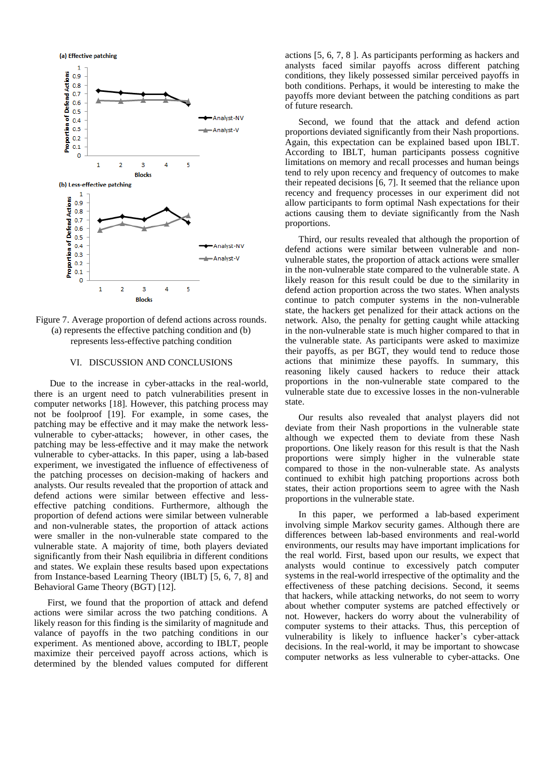(a) Effective patching



Figure 7. Average proportion of defend actions across rounds. (a) represents the effective patching condition and (b) represents less-effective patching condition

### VI. DISCUSSION AND CONCLUSIONS

Due to the increase in cyber-attacks in the real-world, there is an urgent need to patch vulnerabilities present in computer networks [18]. However, this patching process may not be foolproof [19]. For example, in some cases, the patching may be effective and it may make the network lessvulnerable to cyber-attacks; however, in other cases, the patching may be less-effective and it may make the network vulnerable to cyber-attacks. In this paper, using a lab-based experiment, we investigated the influence of effectiveness of the patching processes on decision-making of hackers and analysts. Our results revealed that the proportion of attack and defend actions were similar between effective and lesseffective patching conditions. Furthermore, although the proportion of defend actions were similar between vulnerable and non-vulnerable states, the proportion of attack actions were smaller in the non-vulnerable state compared to the vulnerable state. A majority of time, both players deviated significantly from their Nash equilibria in different conditions and states. We explain these results based upon expectations from Instance-based Learning Theory (IBLT) [5, 6, 7, 8] and Behavioral Game Theory (BGT) [12].

First, we found that the proportion of attack and defend actions were similar across the two patching conditions. A likely reason for this finding is the similarity of magnitude and valance of payoffs in the two patching conditions in our experiment. As mentioned above, according to IBLT, people maximize their perceived payoff across actions, which is determined by the blended values computed for different

actions [5, 6, 7, 8 ]. As participants performing as hackers and analysts faced similar payoffs across different patching conditions, they likely possessed similar perceived payoffs in both conditions. Perhaps, it would be interesting to make the payoffs more deviant between the patching conditions as part of future research.

Second, we found that the attack and defend action proportions deviated significantly from their Nash proportions. Again, this expectation can be explained based upon IBLT. According to IBLT, human participants possess cognitive limitations on memory and recall processes and human beings tend to rely upon recency and frequency of outcomes to make their repeated decisions [6, 7]. It seemed that the reliance upon recency and frequency processes in our experiment did not allow participants to form optimal Nash expectations for their actions causing them to deviate significantly from the Nash proportions.

Third, our results revealed that although the proportion of defend actions were similar between vulnerable and nonvulnerable states, the proportion of attack actions were smaller in the non-vulnerable state compared to the vulnerable state. A likely reason for this result could be due to the similarity in defend action proportion across the two states. When analysts continue to patch computer systems in the non-vulnerable state, the hackers get penalized for their attack actions on the network. Also, the penalty for getting caught while attacking in the non-vulnerable state is much higher compared to that in the vulnerable state. As participants were asked to maximize their payoffs, as per BGT, they would tend to reduce those actions that minimize these payoffs. In summary, this reasoning likely caused hackers to reduce their attack proportions in the non-vulnerable state compared to the vulnerable state due to excessive losses in the non-vulnerable state.

Our results also revealed that analyst players did not deviate from their Nash proportions in the vulnerable state although we expected them to deviate from these Nash proportions. One likely reason for this result is that the Nash proportions were simply higher in the vulnerable state compared to those in the non-vulnerable state. As analysts continued to exhibit high patching proportions across both states, their action proportions seem to agree with the Nash proportions in the vulnerable state.

In this paper, we performed a lab-based experiment involving simple Markov security games. Although there are differences between lab-based environments and real-world environments, our results may have important implications for the real world. First, based upon our results, we expect that analysts would continue to excessively patch computer systems in the real-world irrespective of the optimality and the effectiveness of these patching decisions. Second, it seems that hackers, while attacking networks, do not seem to worry about whether computer systems are patched effectively or not. However, hackers do worry about the vulnerability of computer systems to their attacks. Thus, this perception of vulnerability is likely to influence hacker's cyber-attack decisions. In the real-world, it may be important to showcase computer networks as less vulnerable to cyber-attacks. One